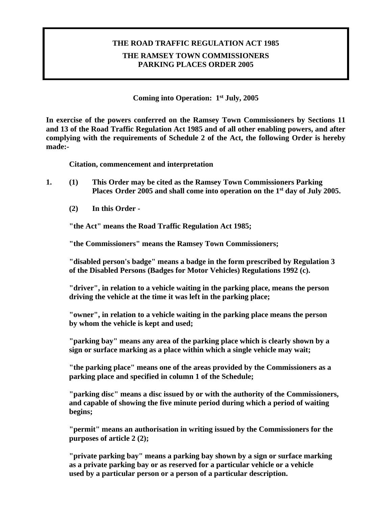## **THE ROAD TRAFFIC REGULATION ACT 1985 THE RAMSEY TOWN COMMISSIONERS PARKING PLACES ORDER 2005**

**Coming into Operation: 1st July, 2005**

**In exercise of the powers conferred on the Ramsey Town Commissioners by Sections 11 and 13 of the Road Traffic Regulation Act 1985 and of all other enabling powers, and after complying with the requirements of Schedule 2 of the Act, the following Order is hereby made:-**

**Citation, commencement and interpretation**

- **1. (1) This Order may be cited as the Ramsey Town Commissioners Parking Places Order 2005 and shall come into operation on the 1st day of July 2005.**
	- **(2) In this Order -**

**"the Act" means the Road Traffic Regulation Act 1985;**

**"the Commissioners" means the Ramsey Town Commissioners;**

**"disabled person's badge" means a badge in the form prescribed by Regulation 3 of the Disabled Persons (Badges for Motor Vehicles) Regulations 1992 (c).**

**"driver", in relation to a vehicle waiting in the parking place, means the person driving the vehicle at the time it was left in the parking place;**

**"owner", in relation to a vehicle waiting in the parking place means the person by whom the vehicle is kept and used;**

**"parking bay" means any area of the parking place which is clearly shown by a sign or surface marking as a place within which a single vehicle may wait;**

**"the parking place" means one of the areas provided by the Commissioners as a parking place and specified in column 1 of the Schedule;**

**"parking disc" means a disc issued by or with the authority of the Commissioners, and capable of showing the five minute period during which a period of waiting begins;**

**"permit" means an authorisation in writing issued by the Commissioners for the purposes of article 2 (2);**

**"private parking bay" means a parking bay shown by a sign or surface marking as a private parking bay or as reserved for a particular vehicle or a vehicle used by a particular person or a person of a particular description.**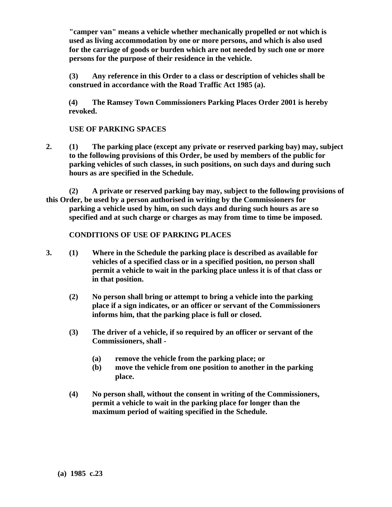**"camper van" means a vehicle whether mechanically propelled or not which is used as living accommodation by one or more persons, and which is also used for the carriage of goods or burden which are not needed by such one or more persons for the purpose of their residence in the vehicle.** 

**(3) Any reference in this Order to a class or description of vehicles shall be construed in accordance with the Road Traffic Act 1985 (a).**

**(4) The Ramsey Town Commissioners Parking Places Order 2001 is hereby revoked.**

#### **USE OF PARKING SPACES**

- **2. (1) The parking place (except any private or reserved parking bay) may, subject to the following provisions of this Order, be used by members of the public for parking vehicles of such classes, in such positions, on such days and during such hours as are specified in the Schedule.**
- **(2) A private or reserved parking bay may, subject to the following provisions of this Order, be used by a person authorised in writing by the Commissioners for parking a vehicle used by him, on such days and during such hours as are so specified and at such charge or charges as may from time to time be imposed.**

#### **CONDITIONS OF USE OF PARKING PLACES**

- **3. (1) Where in the Schedule the parking place is described as available for vehicles of a specified class or in a specified position, no person shall permit a vehicle to wait in the parking place unless it is of that class or in that position.**
	- **(2) No person shall bring or attempt to bring a vehicle into the parking place if a sign indicates, or an officer or servant of the Commissioners informs him, that the parking place is full or closed.**
	- **(3) The driver of a vehicle, if so required by an officer or servant of the Commissioners, shall -**
		- **(a) remove the vehicle from the parking place; or**
		- **(b) move the vehicle from one position to another in the parking place.**
	- **(4) No person shall, without the consent in writing of the Commissioners, permit a vehicle to wait in the parking place for longer than the maximum period of waiting specified in the Schedule.**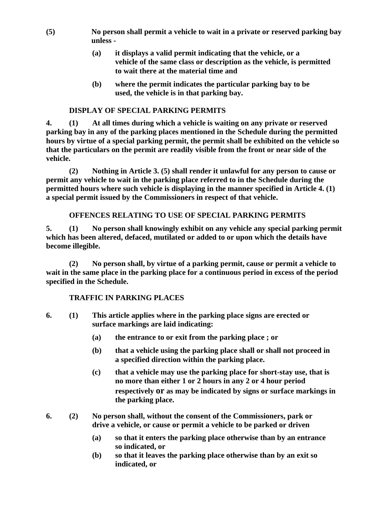- **(5) No person shall permit a vehicle to wait in a private or reserved parking bay unless -**
	- **(a) it displays a valid permit indicating that the vehicle, or a vehicle of the same class or description as the vehicle, is permitted to wait there at the material time and**
	- **(b) where the permit indicates the particular parking bay to be used, the vehicle is in that parking bay.**

#### **DISPLAY OF SPECIAL PARKING PERMITS**

**4. (1) At all times during which a vehicle is waiting on any private or reserved parking bay in any of the parking places mentioned in the Schedule during the permitted hours by virtue of a special parking permit, the permit shall be exhibited on the vehicle so that the particulars on the permit are readily visible from the front or near side of the vehicle.**

**(2) Nothing in Article 3. (5) shall render it unlawful for any person to cause or permit any vehicle to wait in the parking place referred to in the Schedule during the permitted hours where such vehicle is displaying in the manner specified in Article 4. (1) a special permit issued by the Commissioners in respect of that vehicle.**

#### **OFFENCES RELATING TO USE OF SPECIAL PARKING PERMITS**

**5. (1) No person shall knowingly exhibit on any vehicle any special parking permit which has been altered, defaced, mutilated or added to or upon which the details have become illegible.**

**(2) No person shall, by virtue of a parking permit, cause or permit a vehicle to wait in the same place in the parking place for a continuous period in excess of the period specified in the Schedule.**

#### **TRAFFIC IN PARKING PLACES**

- **6. (1) This article applies where in the parking place signs are erected or surface markings are laid indicating:**
	- **(a) the entrance to or exit from the parking place ; or**
	- **(b) that a vehicle using the parking place shall or shall not proceed in a specified direction within the parking place.**
	- **(c) that a vehicle may use the parking place for short-stay use, that is no more than either 1 or 2 hours in any 2 or 4 hour period respectively or as may be indicated by signs or surface markings in the parking place.**
- **6. (2) No person shall, without the consent of the Commissioners, park or drive a vehicle, or cause or permit a vehicle to be parked or driven** 
	- **(a) so that it enters the parking place otherwise than by an entrance so indicated, or**
	- **(b) so that it leaves the parking place otherwise than by an exit so indicated, or**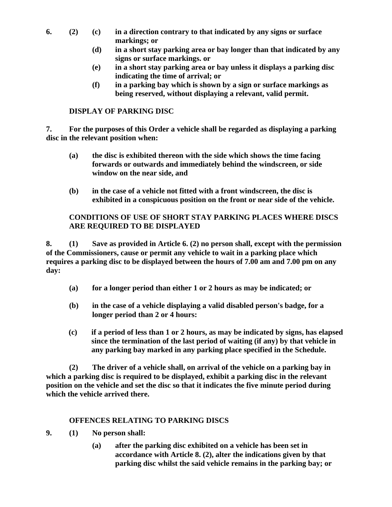- **6. (2) (c) in a direction contrary to that indicated by any signs or surface markings; or**
	- **(d) in a short stay parking area or bay longer than that indicated by any signs or surface markings. or**
	- **(e) in a short stay parking area or bay unless it displays a parking disc indicating the time of arrival; or**
	- **(f) in a parking bay which is shown by a sign or surface markings as being reserved, without displaying a relevant, valid permit.**

### **DISPLAY OF PARKING DISC**

**7. For the purposes of this Order a vehicle shall be regarded as displaying a parking disc in the relevant position when:**

- **(a) the disc is exhibited thereon with the side which shows the time facing forwards or outwards and immediately behind the windscreen, or side window on the near side, and**
- **(b) in the case of a vehicle not fitted with a front windscreen, the disc is exhibited in a conspicuous position on the front or near side of the vehicle.**

#### **CONDITIONS OF USE OF SHORT STAY PARKING PLACES WHERE DISCS ARE REQUIRED TO BE DISPLAYED**

**8. (1) Save as provided in Article 6. (2) no person shall, except with the permission of the Commissioners, cause or permit any vehicle to wait in a parking place which requires a parking disc to be displayed between the hours of 7.00 am and 7.00 pm on any day:**

- **(a) for a longer period than either 1 or 2 hours as may be indicated; or**
- **(b) in the case of a vehicle displaying a valid disabled person's badge, for a longer period than 2 or 4 hours:**
- **(c) if a period of less than 1 or 2 hours, as may be indicated by signs, has elapsed since the termination of the last period of waiting (if any) by that vehicle in any parking bay marked in any parking place specified in the Schedule.**

**(2) The driver of a vehicle shall, on arrival of the vehicle on a parking bay in which a parking disc is required to be displayed, exhibit a parking disc in the relevant position on the vehicle and set the disc so that it indicates the five minute period during which the vehicle arrived there.**

#### **OFFENCES RELATING TO PARKING DISCS**

- **9. (1) No person shall:**
	- **(a) after the parking disc exhibited on a vehicle has been set in accordance with Article 8. (2), alter the indications given by that parking disc whilst the said vehicle remains in the parking bay; or**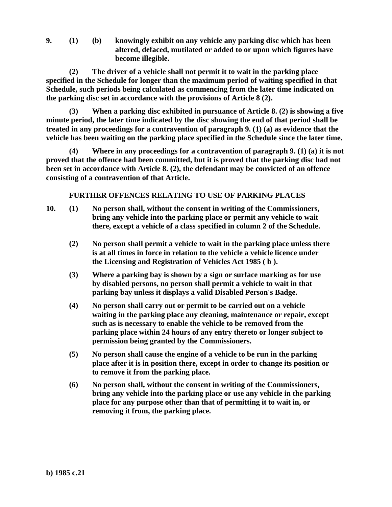**9. (1) (b) knowingly exhibit on any vehicle any parking disc which has been altered, defaced, mutilated or added to or upon which figures have become illegible.**

**(2) The driver of a vehicle shall not permit it to wait in the parking place specified in the Schedule for longer than the maximum period of waiting specified in that Schedule, such periods being calculated as commencing from the later time indicated on the parking disc set in accordance with the provisions of Article 8 (2).**

**(3) When a parking disc exhibited in pursuance of Article 8. (2) is showing a five minute period, the later time indicated by the disc showing the end of that period shall be treated in any proceedings for a contravention of paragraph 9. (1) (a) as evidence that the vehicle has been waiting on the parking place specified in the Schedule since the later time.**

**(4) Where in any proceedings for a contravention of paragraph 9. (1) (a) it is not proved that the offence had been committed, but it is proved that the parking disc had not been set in accordance with Article 8. (2), the defendant may be convicted of an offence consisting of a contravention of that Article.**

**FURTHER OFFENCES RELATING TO USE OF PARKING PLACES**

- **10. (1) No person shall, without the consent in writing of the Commissioners, bring any vehicle into the parking place or permit any vehicle to wait there, except a vehicle of a class specified in column 2 of the Schedule.**
	- **(2) No person shall permit a vehicle to wait in the parking place unless there is at all times in force in relation to the vehicle a vehicle licence under the Licensing and Registration of Vehicles Act 1985 ( b ).**
	- **(3) Where a parking bay is shown by a sign or surface marking as for use by disabled persons, no person shall permit a vehicle to wait in that parking bay unless it displays a valid Disabled Person's Badge.**
	- **(4) No person shall carry out or permit to be carried out on a vehicle waiting in the parking place any cleaning, maintenance or repair, except such as is necessary to enable the vehicle to be removed from the parking place within 24 hours of any entry thereto or longer subject to permission being granted by the Commissioners.**
	- **(5) No person shall cause the engine of a vehicle to be run in the parking place after it is in position there, except in order to change its position or to remove it from the parking place.**
	- **(6) No person shall, without the consent in writing of the Commissioners, bring any vehicle into the parking place or use any vehicle in the parking place for any purpose other than that of permitting it to wait in, or removing it from, the parking place.**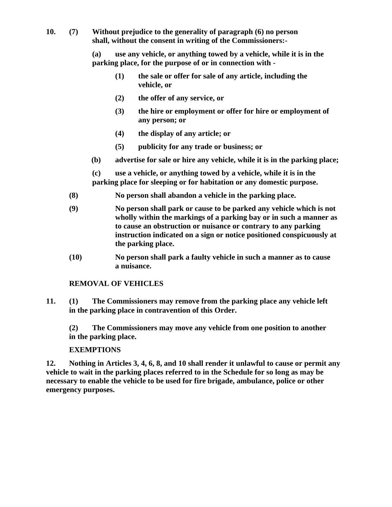**10. (7) Without prejudice to the generality of paragraph (6) no person shall, without the consent in writing of the Commissioners:-**

> **(a) use any vehicle, or anything towed by a vehicle, while it is in the parking place, for the purpose of or in connection with -**

- **(1) the sale or offer for sale of any article, including the vehicle, or**
- **(2) the offer of any service, or**
- **(3) the hire or employment or offer for hire or employment of any person; or**
- **(4) the display of any article; or**
- **(5) publicity for any trade or business; or**
- **(b) advertise for sale or hire any vehicle, while it is in the parking place;**

**(c) use a vehicle, or anything towed by a vehicle, while it is in the parking place for sleeping or for habitation or any domestic purpose.**

- **(8) No person shall abandon a vehicle in the parking place.**
- **(9) No person shall park or cause to be parked any vehicle which is not wholly within the markings of a parking bay or in such a manner as to cause an obstruction or nuisance or contrary to any parking instruction indicated on a sign or notice positioned conspicuously at the parking place.**
- **(10) No person shall park a faulty vehicle in such a manner as to cause a nuisance.**

### **REMOVAL OF VEHICLES**

**11. (1) The Commissioners may remove from the parking place any vehicle left in the parking place in contravention of this Order.**

**(2) The Commissioners may move any vehicle from one position to another in the parking place.**

#### **EXEMPTIONS**

**12. Nothing in Articles 3, 4, 6, 8, and 10 shall render it unlawful to cause or permit any vehicle to wait in the parking places referred to in the Schedule for so long as may be necessary to enable the vehicle to be used for fire brigade, ambulance, police or other emergency purposes.**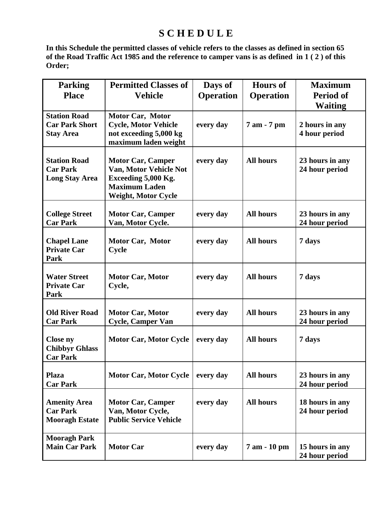# **S C H E D U L E**

**In this Schedule the permitted classes of vehicle refers to the classes as defined in section 65 of the Road Traffic Act 1985 and the reference to camper vans is as defined in 1 ( 2 ) of this Order;**

| <b>Parking</b><br><b>Place</b>                                   | <b>Permitted Classes of</b><br><b>Vehicle</b>                                                                            | Days of<br><b>Operation</b> | <b>Hours of</b><br><b>Operation</b> | <b>Maximum</b><br><b>Period of</b><br><b>Waiting</b> |
|------------------------------------------------------------------|--------------------------------------------------------------------------------------------------------------------------|-----------------------------|-------------------------------------|------------------------------------------------------|
| <b>Station Road</b><br><b>Car Park Short</b><br><b>Stay Area</b> | Motor Car, Motor<br><b>Cycle, Motor Vehicle</b><br>not exceeding 5,000 kg<br>maximum laden weight                        | every day                   | 7 am - 7 pm                         | 2 hours in any<br>4 hour period                      |
| <b>Station Road</b><br><b>Car Park</b><br><b>Long Stay Area</b>  | <b>Motor Car, Camper</b><br>Van, Motor Vehicle Not<br>Exceeding 5,000 Kg.<br><b>Maximum Laden</b><br>Weight, Motor Cycle | every day                   | <b>All hours</b>                    | 23 hours in any<br>24 hour period                    |
| <b>College Street</b><br><b>Car Park</b>                         | <b>Motor Car, Camper</b><br>Van, Motor Cycle.                                                                            | every day                   | <b>All hours</b>                    | 23 hours in any<br>24 hour period                    |
| <b>Chapel Lane</b><br><b>Private Car</b><br>Park                 | Motor Car, Motor<br>Cycle                                                                                                | every day                   | <b>All hours</b>                    | 7 days                                               |
| <b>Water Street</b><br><b>Private Car</b><br>Park                | <b>Motor Car, Motor</b><br>Cycle,                                                                                        | every day                   | <b>All hours</b>                    | 7 days                                               |
| <b>Old River Road</b><br><b>Car Park</b>                         | <b>Motor Car, Motor</b><br><b>Cycle, Camper Van</b>                                                                      | every day                   | <b>All hours</b>                    | 23 hours in any<br>24 hour period                    |
| <b>Close ny</b><br><b>Chibbyr Ghlass</b><br><b>Car Park</b>      | <b>Motor Car, Motor Cycle</b>                                                                                            | every day                   | <b>All hours</b>                    | 7 days                                               |
| <b>Plaza</b><br><b>Car Park</b>                                  | <b>Motor Car, Motor Cycle</b>                                                                                            | every day                   | <b>All hours</b>                    | 23 hours in any<br>24 hour period                    |
| <b>Amenity Area</b><br><b>Car Park</b><br><b>Mooragh Estate</b>  | <b>Motor Car, Camper</b><br>Van, Motor Cycle,<br><b>Public Service Vehicle</b>                                           | every day                   | <b>All hours</b>                    | 18 hours in any<br>24 hour period                    |
| <b>Mooragh Park</b><br><b>Main Car Park</b>                      | <b>Motor Car</b>                                                                                                         | every day                   | 7 am - 10 pm                        | 15 hours in any<br>24 hour period                    |